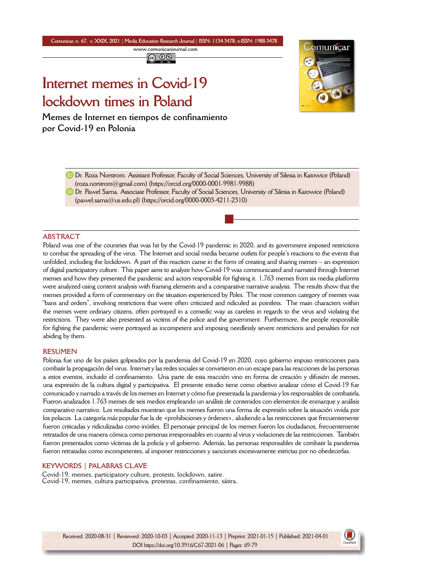**Comunicar, n. 67, v. XXIX, 2021** *|* **Media Education Research Journal** *|* **ISSN: 1134-3478; e-ISSN: 1988-3478 <www.comunicarjournal.com>**

# **Internet memes in Covid-19 lockdown times in Poland**

**Memes de Internet en tiempos de confinamiento por Covid-19 en Polonia**



Dr. Roza Norstrom. Assistant Professor, Faculty of Social Sciences, University of Silesia in Katowice (Poland) [\(roza.norstrom@gmail.com\)](mailto:roza.norstrom@gmail.com) [\(https://orcid.org/0000-0001-9981-9988](https://orcid.org/0000-0001-9981-9988))

**D** Dr. Pawel Sarna. Associate Professor, Faculty of Social Sciences, University of Silesia in Katowice (Poland) [\(pawel.sarna@us.edu.pl](mailto:pawel.sarna@us.edu.pl)) ([https://orcid.org/0000-0003-4211-2310\)](https://orcid.org/0000-0003-4211-2310)

# **ABSTRACT**

Poland was one of the countries that was hit by the Covid-19 pandemic in 2020, and its government imposed restrictions to combat the spreading of the virus. The Internet and social media became outlets for people's reactions to the events that unfolded, including the lockdown. A part of this reaction came in the form of creating and sharing memes – an expression of digital participatory culture. This paper aims to analyze how Covid-19 was communicated and narrated through Internet memes and how they presented the pandemic and actors responsible for fighting it. 1,763 memes from six media platforms were analyzed using content analysis with framing elements and a comparative narrative analysis. The results show that the memes provided a form of commentary on the situation experienced by Poles. The most common category of memes was "bans and orders", involving restrictions that were often criticized and ridiculed as pointless. The main characters within the memes were ordinary citizens, often portrayed in a comedic way as careless in regards to the virus and violating the restrictions. They were also presented as victims of the police and the government. Furthermore, the people responsible for fighting the pandemic were portrayed as incompetent and imposing needlessly severe restrictions and penalties for not abiding by them.

# **RESUMEN**

Polonia fue uno de los países golpeados por la pandemia del Covid-19 en 2020, cuyo gobierno impuso restricciones para combatir la propagación del virus. Internet y las redes sociales se convirtieron en un escape para las reacciones de las personas a estos eventos, incluido el confinamiento. Una parte de esta reacción vino en forma de creación y difusión de memes, una expresión de la cultura digital y participativa. El presente estudio tiene como objetivo analizar cómo el Covid-19 fue comunicado y narrado a través de los memes en Internet y cómo fue presentada la pandemia y los responsables de combatirla. Fueron analizados 1.763 memes de seis medios empleando un análisis de contenidos con elementos de enmarque y análisis comparativo narrativo. Los resultados muestran que los memes fueron una forma de expresión sobre la situación vivida por los polacos. La categoría más popular fue la de «prohibiciones y órdenes», aludiendo a las restricciones que frecuentemente fueron criticadas y ridiculizadas como inútiles. El personaje principal de los memes fueron los ciudadanos, frecuentemente retratados de una manera cómica como personas irresponsables en cuanto al virus y violaciones de las restricciones. También fueron presentados como víctimas de la policía y el gobierno. Además, las personas responsables de combatir la pandemia fueron retratadas como incompetentes, al imponer restricciones y sanciones excesivamente estrictas por no obedecerlas.

# **KEYWORDS | PALABRAS CLAVE**

Covid-19, memes, participatory culture, protests, lockdown, satire. Covid-19, memes, cultura participativa, protestas, confinamiento, sátira.

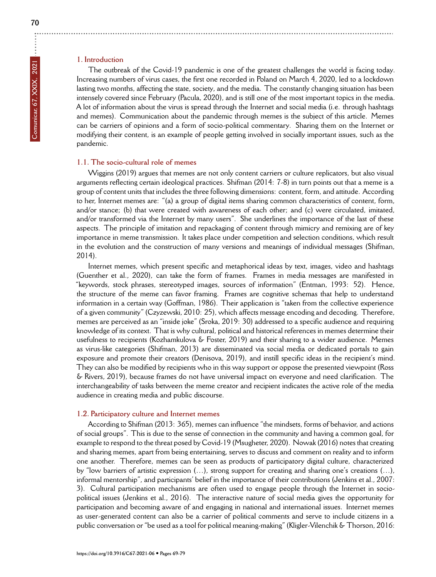# **1. Introduction**

The outbreak of the Covid-19 pandemic is one of the greatest challenges the world is facing today. Increasing numbers of virus cases, the first one recorded in Poland on March 4, 2020, led to a lockdown lasting two months, affecting the state, society, and the media. The constantly changing situation has been intensely covered since February (Pacula, 2020), and is still one of the most important topics in the media. A lot of information about the virus is spread through the Internet and social media (i.e. through hashtags and memes). Communication about the pandemic through memes is the subject of this article. Memes can be carriers of opinions and a form of socio-political commentary. Sharing them on the Internet or modifying their content, is an example of people getting involved in socially important issues, such as the pandemic.

#### **1.1. The socio-cultural role of memes**

Wiggins (2019) argues that memes are not only content carriers or culture replicators, but also visual arguments reflecting certain ideological practices. Shifman (2014: 7-8) in turn points out that a meme is a group of content units that includes the three following dimensions: content, form, and attitude. According to her, Internet memes are: "(a) a group of digital items sharing common characteristics of content, form, and/or stance; (b) that were created with awareness of each other; and (c) were circulated, imitated, and/or transformed via the Internet by many users". She underlines the importance of the last of these aspects. The principle of imitation and repackaging of content through mimicry and remixing are of key importance in meme transmission. It takes place under competition and selection conditions, which result in the evolution and the construction of many versions and meanings of individual messages (Shifman, 2014).

Internet memes, which present specific and metaphorical ideas by text, images, video and hashtags (Guenther et al., 2020), can take the form of frames. Frames in media messages are manifested in "keywords, stock phrases, stereotyped images, sources of information" (Entman, 1993: 52). Hence, the structure of the meme can favor framing. Frames are cognitive schemas that help to understand information in a certain way (Goffman, 1986). Their application is "taken from the collective experience of a given community" (Czyzewski, 2010: 25), which affects message encoding and decoding. Therefore, memes are perceived as an "inside joke" (Sroka, 2019: 30) addressed to a specific audience and requiring knowledge of its context. That is why cultural, political and historical references in memes determine their usefulness to recipients (Kozhamkulova & Foster, 2019) and their sharing to a wider audience. Memes as virus-like categories (Shifman, 2013) are disseminated via social media or dedicated portals to gain exposure and promote their creators (Denisova, 2019), and instill specific ideas in the recipient's mind. They can also be modified by recipients who in this way support or oppose the presented viewpoint (Ross & Rivers, 2019), because frames do not have universal impact on everyone and need clarification. The interchangeability of tasks between the meme creator and recipient indicates the active role of the media audience in creating media and public discourse.

## **1.2. Participatory culture and Internet memes**

According to Shifman (2013: 365), memes can influence "the mindsets, forms of behavior, and actions of social groups". This is due to the sense of connection in the community and having a common goal, for example to respond to the threat posed by Covid-19 (Msugheter, 2020). Nowak (2016) notes that creating and sharing memes, apart from being entertaining, serves to discuss and comment on reality and to inform one another. Therefore, memes can be seen as products of participatory digital culture, characterized by "low barriers of artistic expression (…), strong support for creating and sharing one's creations (…), informal mentorship", and participants' belief in the importance of their contributions (Jenkins et al., 2007: 3). Cultural participation mechanisms are often used to engage people through the Internet in sociopolitical issues (Jenkins et al., 2016). The interactive nature of social media gives the opportunity for participation and becoming aware of and engaging in national and international issues. Internet memes as user-generated content can also be a carrier of political comments and serve to include citizens in a public conversation or "be used as a tool for political meaning-making" (Kligler-Vilenchik & Thorson, 2016: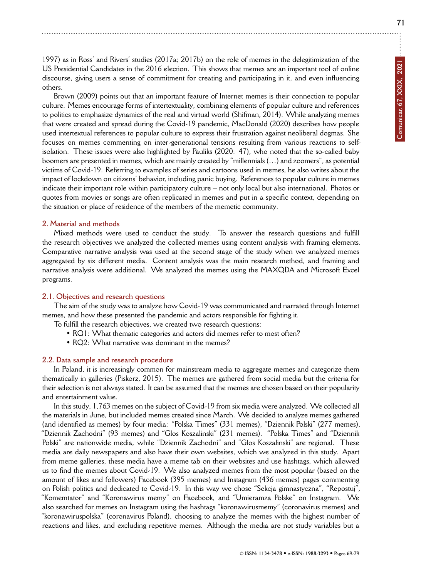1997) as in Ross' and Rivers' studies (2017a; 2017b) on the role of memes in the delegitimization of the US Presidential Candidates in the 2016 election. This shows that memes are an important tool of online discourse, giving users a sense of commitment for creating and participating in it, and even influencing others.

Brown (2009) points out that an important feature of Internet memes is their connection to popular culture. Memes encourage forms of intertextuality, combining elements of popular culture and references to politics to emphasize dynamics of the real and virtual world (Shifman, 2014). While analyzing memes that were created and spread during the Covid-19 pandemic, MacDonald (2020) describes how people used intertextual references to popular culture to express their frustration against neoliberal dogmas. She focuses on memes commenting on inter-generational tensions resulting from various reactions to selfisolation. These issues were also highlighted by Pauliks (2020: 47), who noted that the so-called baby boomers are presented in memes, which are mainly created by "millennials (…) and zoomers", as potential victims of Covid-19. Referring to examples of series and cartoons used in memes, he also writes about the impact of lockdown on citizens' behavior, including panic buying. References to popular culture in memes indicate their important role within participatory culture – not only local but also international. Photos or quotes from movies or songs are often replicated in memes and put in a specific context, depending on the situation or place of residence of the members of the memetic community.

# **2. Material and methods**

Mixed methods were used to conduct the study. To answer the research questions and fulfill the research objectives we analyzed the collected memes using content analysis with framing elements. Comparative narrative analysis was used at the second stage of the study when we analyzed memes aggregated by six different media. Content analysis was the main research method, and framing and narrative analysis were additional. We analyzed the memes using the MAXQDA and Microsoft Excel programs.

#### **2.1. Objectives and research questions**

The aim of the study was to analyze how Covid-19 was communicated and narrated through Internet memes, and how these presented the pandemic and actors responsible for fighting it.

To fulfill the research objectives, we created two research questions:

- RQ1: What thematic categories and actors did memes refer to most often?
- RQ2: What narrative was dominant in the memes?

## **2.2. Data sample and research procedure**

In Poland, it is increasingly common for mainstream media to aggregate memes and categorize them thematically in galleries (Piskorz, 2015). The memes are gathered from social media but the criteria for their selection is not always stated. It can be assumed that the memes are chosen based on their popularity and entertainment value.

In this study, 1,763 memes on the subject of Covid-19 from six media were analyzed. We collected all the materials in June, but included memes created since March. We decided to analyze memes gathered (and identified as memes) by four media: "Polska Times" (331 memes), "Dziennik Polski" (277 memes), "Dziennik Zachodni" (93 memes) and "Glos Koszalinski" (231 memes). "Polska Times" and "Dziennik Polski" are nationwide media, while "Dziennik Zachodni" and "Glos Koszalinski" are regional. These media are daily newspapers and also have their own websites, which we analyzed in this study. Apart from meme galleries, these media have a meme tab on their websites and use hashtags, which allowed us to find the memes about Covid-19. We also analyzed memes from the most popular (based on the amount of likes and followers) Facebook (395 memes) and Instagram (436 memes) pages commenting on Polish politics and dedicated to Covid-19. In this way we chose "Sekcja gimnastyczna", "Repostuj", "Komemtator" and "Koronawirus memy" on Facebook, and "Umieramza Polske" on Instagram. We also searched for memes on Instagram using the hashtags "koronawirusmemy" (coronavirus memes) and "koronawiruspolska" (coronavirus Poland), choosing to analyze the memes with the highest number of reactions and likes, and excluding repetitive memes. Although the media are not study variables but a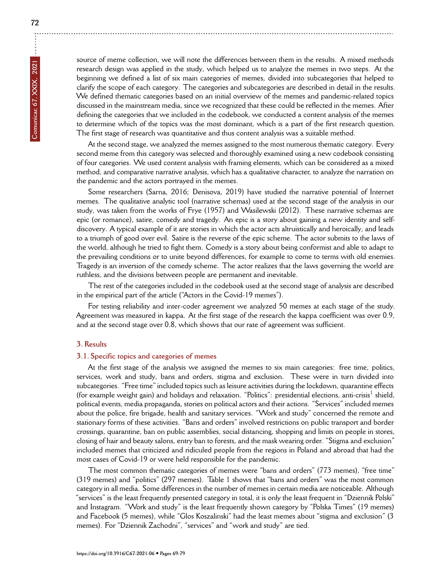source of meme collection, we will note the differences between them in the results. A mixed methods research design was applied in the study, which helped us to analyze the memes in two steps. At the beginning we defined a list of six main categories of memes, divided into subcategories that helped to clarify the scope of each category. The categories and subcategories are described in detail in the results. We defined thematic categories based on an initial overview of the memes and pandemic-related topics discussed in the mainstream media, since we recognized that these could be reflected in the memes. After defining the categories that we included in the codebook, we conducted a content analysis of the memes to determine which of the topics was the most dominant, which is a part of the first research question. The first stage of research was quantitative and thus content analysis was a suitable method.

At the second stage, we analyzed the memes assigned to the most numerous thematic category. Every second meme from this category was selected and thoroughly examined using a new codebook consisting of four categories. We used content analysis with framing elements, which can be considered as a mixed method, and comparative narrative analysis, which has a qualitative character, to analyze the narration on the pandemic and the actors portrayed in the memes.

Some researchers (Sarna, 2016; Denisova, 2019) have studied the narrative potential of Internet memes. The qualitative analytic tool (narrative schemas) used at the second stage of the analysis in our study, was taken from the works of Frye (1957) and Wasilewski (2012). These narrative schemas are epic (or romance), satire, comedy and tragedy. An epic is a story about gaining a new identity and selfdiscovery. A typical example of it are stories in which the actor acts altruistically and heroically, and leads to a triumph of good over evil. Satire is the reverse of the epic scheme. The actor submits to the laws of the world, although he tried to fight them. Comedy is a story about being conformist and able to adapt to the prevailing conditions or to unite beyond differences, for example to come to terms with old enemies. Tragedy is an inversion of the comedy scheme. The actor realizes that the laws governing the world are ruthless, and the divisions between people are permanent and inevitable.

The rest of the categories included in the codebook used at the second stage of analysis are described in the empirical part of the article ("Actors in the Covid-19 memes").

For testing reliability and inter-coder agreement we analyzed 50 memes at each stage of the study. Agreement was measured in kappa. At the first stage of the research the kappa coefficient was over 0.9, and at the second stage over 0.8, which shows that our rate of agreement was sufficient.

# **3. Results**

#### **3.1. Specific topics and categories of memes**

At the first stage of the analysis we assigned the memes to six main categories: free time, politics, services, work and study, bans and orders, stigma and exclusion. These were in turn divided into subcategories. "Free time" included topics such as leisure activities during the lockdown, quarantine effects (for example weight gain) and holidays and relaxation. "Politics": presidential elections, anti-crisis<sup>1</sup> shield, political events, media propaganda, stories on political actors and their actions. "Services" included memes about the police, fire brigade, health and sanitary services. "Work and study" concerned the remote and stationary forms of these activities. "Bans and orders" involved restrictions on public transport and border crossings, quarantine, ban on public assemblies, social distancing, shopping and limits on people in stores, closing of hair and beauty salons, entry ban to forests, and the mask wearing order. "Stigma and exclusion" included memes that criticized and ridiculed people from the regions in Poland and abroad that had the most cases of Covid-19 or were held responsible for the pandemic.

The most common thematic categories of memes were "bans and orders" (773 memes), "free time" (319 memes) and "politics" (297 memes). Table 1 shows that "bans and orders" was the most common category in all media. Some differences in the number of memes in certain media are noticeable. Although "services" is the least frequently presented category in total, it is only the least frequent in "Dziennik Polski" and Instagram. "Work and study" is the least frequently shown category by "Polska Times" (19 memes) and Facebook (5 memes), while "Glos Koszalinski" had the least memes about "stigma and exclusion" (3 memes). For "Dziennik Zachodni", "services" and "work and study" are tied.

÷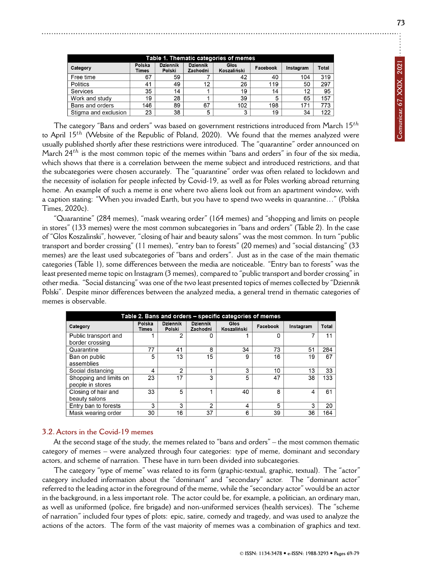| Table 1. Thematic categories of memes |                 |                           |                             |                     |          |           |       |  |
|---------------------------------------|-----------------|---------------------------|-----------------------------|---------------------|----------|-----------|-------|--|
| Category                              | Polska<br>Times | <b>Dziennik</b><br>Polski | <b>Dziennik</b><br>Zachodni | Głos<br>Koszaliński | Facebook | Instagram | Total |  |
| Free time                             | 67              | 59                        |                             | 42                  | 40       | 104       | 319   |  |
| <b>Politics</b>                       | 41              | 49                        | 12                          | 26                  | 119      | 50        | 297   |  |
| <b>Services</b>                       | 35              | 14                        |                             | 19                  | 14       | 12        | 95    |  |
| Work and study                        | 19              | 28                        |                             | 39                  | 5        | 65        | 157   |  |
| Bans and orders                       | 146             | 89                        | 67                          | 102                 | 198      | 171       | 773   |  |
| Stigma and exclusion                  | 23              | 38                        | 5                           | 3                   | 19       | 34        | 122   |  |

The category "Bans and orders" was based on government restrictions introduced from March 15*th* to April 15*th* (Website of the Republic of Poland, 2020). We found that the memes analyzed were usually published shortly after these restrictions were introduced. The "quarantine" order announced on March 24*th* is the most common topic of the memes within "bans and orders" in four of the six media, which shows that there is a correlation between the meme subject and introduced restrictions, and that the subcategories were chosen accurately. The "quarantine" order was often related to lockdown and the necessity of isolation for people infected by Covid-19, as well as for Poles working abroad returning home. An example of such a meme is one where two aliens look out from an apartment window, with a caption stating: "When you invaded Earth, but you have to spend two weeks in quarantine…" (Polska Times, 2020c).

"Quarantine" (284 memes), "mask wearing order" (164 memes) and "shopping and limits on people in stores" (133 memes) were the most common subcategories in "bans and orders" (Table 2). In the case of "Glos Koszalinski", however, "closing of hair and beauty salons" was the most common. In turn "public transport and border crossing" (11 memes), "entry ban to forests" (20 memes) and "social distancing" (33 memes) are the least used subcategories of "bans and orders". Just as in the case of the main thematic categories (Table 1), some differences between the media are noticeable. "Entry ban to forests" was the least presented meme topic on Instagram (3 memes), compared to "public transport and border crossing" in other media. "Social distancing" was one of the two least presented topics of memes collected by "Dziennik Polski". Despite minor differences between the analyzed media, a general trend in thematic categories of memes is observable.

| Table 2. Bans and orders - specific categories of memes |                 |                           |                             |                     |          |           |       |  |
|---------------------------------------------------------|-----------------|---------------------------|-----------------------------|---------------------|----------|-----------|-------|--|
| Category                                                | Polska<br>Times | <b>Dziennik</b><br>Polski | <b>Dziennik</b><br>Zachodni | Głos<br>Koszaliński | Facebook | Instagram | Total |  |
| Public transport and                                    |                 | 2                         | 0                           |                     | 0        |           | 11    |  |
| border crossing                                         |                 |                           |                             |                     |          |           |       |  |
| Quarantine                                              | 77              | 41                        | 8                           | 34                  | 73       | 51        | 284   |  |
| Ban on public                                           | 5               | 13                        | 15                          | 9                   | 16       | 19        | 67    |  |
| assemblies                                              |                 |                           |                             |                     |          |           |       |  |
| Social distancing                                       | 4               | 2                         | ,                           | 3                   | 10       | 13        | 33    |  |
| Shopping and limits on                                  | 23              | 17                        | 3                           | 5                   | 47       | 38        | 133   |  |
| people in stores                                        |                 |                           |                             |                     |          |           |       |  |
| Closing of hair and                                     | 33              | 5                         |                             | 40                  | 8        | 4         | 61    |  |
| beauty salons                                           |                 |                           |                             |                     |          |           |       |  |
| Entry ban to forests                                    | 3               | 3                         | 2                           | 4                   | 5        | 3         | 20    |  |
| Mask wearing order                                      | 30              | 16                        | 37                          | 6                   | 39       | 36        | 164   |  |

# **3.2. Actors in the Covid-19 memes**

At the second stage of the study, the memes related to "bans and orders" – the most common thematic category of memes – were analyzed through four categories: type of meme, dominant and secondary actors, and scheme of narration. These have in turn been divided into subcategories.

The category "type of meme" was related to its form (graphic-textual, graphic, textual). The "actor" category included information about the "dominant" and "secondary" actor. The "dominant actor" referred to the leading actor in the foreground of the meme, while the "secondary actor" would be an actor in the background, in a less important role. The actor could be, for example, a politician, an ordinary man, as well as uniformed (police, fire brigade) and non-uniformed services (health services). The "scheme of narration" included four types of plots: epic, satire, comedy and tragedy, and was used to analyze the actions of the actors. The form of the vast majority of memes was a combination of graphics and text.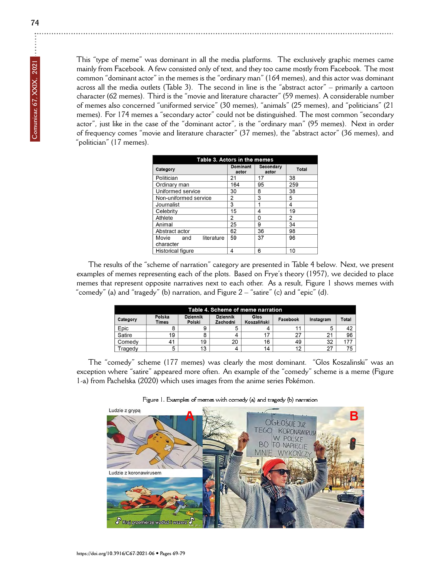This "type of meme" was dominant in all the media platforms. The exclusively graphic memes came mainly from Facebook. A few consisted only of text, and they too came mostly from Facebook. The most common "dominant actor" in the memes is the "ordinary man" (164 memes), and this actor was dominant across all the media outlets (Table 3). The second in line is the "abstract actor" – primarily a cartoon character (62 memes). Third is the "movie and literature character" (59 memes). A considerable number of memes also concerned "uniformed service" (30 memes), "animals" (25 memes), and "politicians" (21 memes). For 174 memes a "secondary actor" could not be distinguished. The most common "secondary actor", just like in the case of the "dominant actor", is the "ordinary man" (95 memes). Next in order of frequency comes "movie and literature character" (37 memes), the "abstract actor" (36 memes), and "politician" (17 memes).

| Table 3. Actors in the memes            |                   |                    |       |  |  |  |
|-----------------------------------------|-------------------|--------------------|-------|--|--|--|
| Category                                | Dominant<br>actor | Secondary<br>actor | Total |  |  |  |
| Politician                              | 21                | 17                 | 38    |  |  |  |
| Ordinary man                            | 164               | 95                 | 259   |  |  |  |
| Uniformed service                       | 30                | 8                  | 38    |  |  |  |
| Non-uniformed service                   | 2                 | 3                  | 5     |  |  |  |
| Journalist                              | 3                 | 1                  | 4     |  |  |  |
| Celebrity                               | 15                | 4                  | 19    |  |  |  |
| Athlete                                 | 2                 | 0                  | 2     |  |  |  |
| Animal                                  | 25                | 9                  | 34    |  |  |  |
| Abstract actor                          | 62                | 36                 | 98    |  |  |  |
| literature<br>Movie<br>and<br>character | 59                | 37                 | 96    |  |  |  |
| <b>Historical figure</b>                | 4                 | 6                  | 10    |  |  |  |

The results of the "scheme of narration" category are presented in Table 4 below. Next, we present examples of memes representing each of the plots. Based on Frye's theory (1957), we decided to place memes that represent opposite narratives next to each other. As a result, Figure 1 shows memes with "comedy" (a) and "tragedy" (b) narration, and Figure 2 – "satire" (c) and "epic" (d).

| Table 4. Scheme of meme narration |                        |                           |                             |                     |          |           |       |  |  |
|-----------------------------------|------------------------|---------------------------|-----------------------------|---------------------|----------|-----------|-------|--|--|
| Category                          | Polska<br><b>Times</b> | <b>Dziennik</b><br>Polski | <b>Dziennik</b><br>Zachodni | Glos<br>Koszaliński | Facebook | Instagram | Total |  |  |
| Epic                              | 8                      | 9                         | 5                           | 4                   |          |           | 42    |  |  |
| Satire                            | 19                     | 8                         | 4                           |                     | ົ        | 21        | 96    |  |  |
| Comedy                            | 41                     | 19                        | 20                          | 16                  | 49       | 32        | 177   |  |  |
| Tragedv                           | 5                      | 13                        | 4                           | 14                  | 12       | 27        | 75    |  |  |

The "comedy" scheme (177 memes) was clearly the most dominant. "Glos Koszalinski" was an exception where "satire" appeared more often. An example of the "comedy" scheme is a meme (Figure 1-a) from Pachelska (2020) which uses images from the anime series Pokémon.

Figure 1. Examples of memes with comedy (a) and tragedy (b) narration

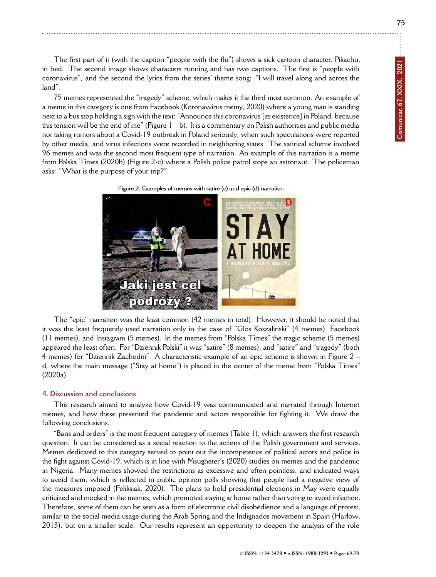**75**

The first part of it (with the caption "people with the flu") shows a sick cartoon character, Pikachu, in bed. The second image shows characters running and has two captions. The first is "people with coronavirus", and the second the lyrics from the series' theme song: "I will travel along and across the land".

75 memes represented the "tragedy" scheme, which makes it the third most common. An example of a meme in this category is one from Facebook (Koronawirus memy, 2020) where a young man is standing next to a bus stop holding a sign with the text: "Announce this coronavirus [its existence] in Poland, because this tension will be the end of me" (Figure  $1 - b$ ). It is a commentary on Polish authorities and public media not taking rumors about a Covid-19 outbreak in Poland seriously, when such speculations were reported by other media, and virus infections were recorded in neighboring states. The satirical scheme involved 96 memes and was the second most frequent type of narration. An example of this narration is a meme from Polska Times (2020b) (Figure 2-c) where a Polish police patrol stops an astronaut. The policeman asks: "What is the purpose of your trip?".





The "epic" narration was the least common (42 memes in total). However, it should be noted that it was the least frequently used narration only in the case of "Glos Koszalinski" (4 memes), Facebook (11 memes), and Instagram (5 memes). In the memes from "Polska Times" the tragic scheme (5 memes) appeared the least often. For "Dziennik Polski" it was "satire" (8 memes), and "satire" and "tragedy" (both 4 memes) for "Dziennik Zachodni". A characteristic example of an epic scheme is shown in Figure 2 – d, where the main message ("Stay at home") is placed in the center of the meme from "Polska Times" (2020a).

# **4. Discussion and conclusions**

This research aimed to analyze how Covid-19 was communicated and narrated through Internet memes, and how these presented the pandemic and actors responsible for fighting it. We draw the following conclusions.

"Bans and orders" is the most frequent category of memes (Table 1), which answers the first research question. It can be considered as a social reaction to the actions of the Polish government and services. Memes dedicated to this category served to point out the incompetence of political actors and police in the fight against Covid-19, which is in line with Msugheter's (2020) studies on memes and the pandemic in Nigeria. Many memes showed the restrictions as excessive and often pointless, and indicated ways to avoid them, which is reflected in public opinion polls showing that people had a negative view of the measures imposed (Feliksiak, 2020). The plans to hold presidential elections in May were equally criticized and mocked in the memes, which promoted staying at home rather than voting to avoid infection. Therefore, some of them can be seen as a form of electronic civil disobedience and a language of protest, similar to the social media usage during the Arab Spring and the Indignados movement in Spain (Harlow, 2013), but on a smaller scale. Our results represent an opportunity to deepen the analysis of the role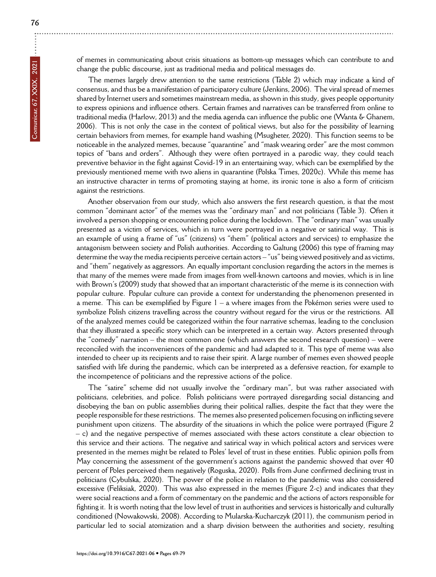÷

of memes in communicating about crisis situations as bottom-up messages which can contribute to and change the public discourse, just as traditional media and political messages do.

The memes largely drew attention to the same restrictions (Table 2) which may indicate a kind of consensus, and thus be a manifestation of participatory culture (Jenkins, 2006). The viral spread of memes shared by Internet users and sometimes mainstream media, as shown in this study, gives people opportunity to express opinions and influence others. Certain frames and narratives can be transferred from online to traditional media (Harlow, 2013) and the media agenda can influence the public one (Wanta & Ghanem, 2006). This is not only the case in the context of political views, but also for the possibility of learning certain behaviors from memes, for example hand washing (Msugheter, 2020). This function seems to be noticeable in the analyzed memes, because "quarantine" and "mask wearing order" are the most common topics of "bans and orders". Although they were often portrayed in a parodic way, they could teach preventive behavior in the fight against Covid-19 in an entertaining way, which can be exemplified by the previously mentioned meme with two aliens in quarantine (Polska Times, 2020c). While this meme has an instructive character in terms of promoting staying at home, its ironic tone is also a form of criticism against the restrictions.

Another observation from our study, which also answers the first research question, is that the most common "dominant actor" of the memes was the "ordinary man" and not politicians (Table 3). Often it involved a person shopping or encountering police during the lockdown. The "ordinary man" was usually presented as a victim of services, which in turn were portrayed in a negative or satirical way. This is an example of using a frame of "us" (citizens) vs "them" (political actors and services) to emphasize the antagonism between society and Polish authorities. According to Galtung (2006) this type of framing may determine the way the media recipients perceive certain actors – "us" being viewed positively and as victims, and "them" negatively as aggressors. An equally important conclusion regarding the actors in the memes is that many of the memes were made from images from well-known cartoons and movies, which is in line with Brown's (2009) study that showed that an important characteristic of the meme is its connection with popular culture. Popular culture can provide a context for understanding the phenomenon presented in a meme. This can be exemplified by Figure 1 – a where images from the Pokémon series were used to symbolize Polish citizens travelling across the country without regard for the virus or the restrictions. All of the analyzed memes could be categorized within the four narrative schemas, leading to the conclusion that they illustrated a specific story which can be interpreted in a certain way. Actors presented through the "comedy" narration – the most common one (which answers the second research question) – were reconciled with the inconveniences of the pandemic and had adapted to it. This type of meme was also intended to cheer up its recipients and to raise their spirit. A large number of memes even showed people satisfied with life during the pandemic, which can be interpreted as a defensive reaction, for example to the incompetence of politicians and the repressive actions of the police.

The "satire" scheme did not usually involve the "ordinary man", but was rather associated with politicians, celebrities, and police. Polish politicians were portrayed disregarding social distancing and disobeying the ban on public assemblies during their political rallies, despite the fact that they were the people responsible for these restrictions. The memes also presented policemen focusing on inflicting severe punishment upon citizens. The absurdity of the situations in which the police were portrayed (Figure 2 – c) and the negative perspective of memes associated with these actors constitute a clear objection to this service and their actions. The negative and satirical way in which political actors and services were presented in the memes might be related to Poles' level of trust in these entities. Public opinion polls from May concerning the assessment of the government's actions against the pandemic showed that over 40 percent of Poles perceived them negatively (Roguska, 2020). Polls from June confirmed declining trust in politicians (Cybulska, 2020). The power of the police in relation to the pandemic was also considered excessive (Feliksiak, 2020). This was also expressed in the memes (Figure 2-c) and indicates that they were social reactions and a form of commentary on the pandemic and the actions of actors responsible for fighting it. It is worth noting that the low level of trust in authorities and services is historically and culturally conditioned (Nowakowski, 2008). According to Mularska-Kucharczyk (2011), the communism period in particular led to social atomization and a sharp division between the authorities and society, resulting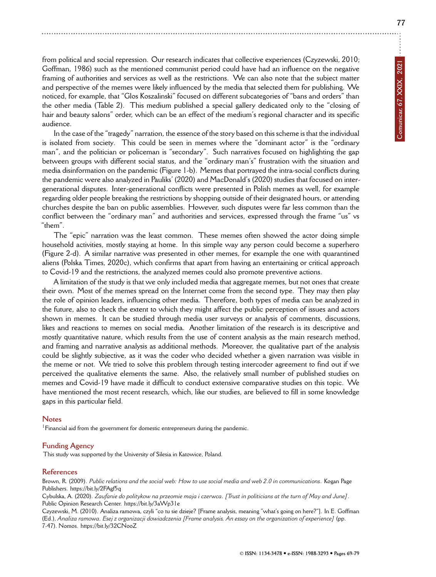from political and social repression. Our research indicates that collective experiences (Czyzewski, 2010; Goffman, 1986) such as the mentioned communist period could have had an influence on the negative framing of authorities and services as well as the restrictions. We can also note that the subject matter and perspective of the memes were likely influenced by the media that selected them for publishing. We noticed, for example, that "Glos Koszalinski" focused on different subcategories of "bans and orders" than the other media (Table 2). This medium published a special gallery dedicated only to the "closing of hair and beauty salons" order, which can be an effect of the medium's regional character and its specific audience.

In the case of the "tragedy" narration, the essence of the story based on this scheme is that the individual is isolated from society. This could be seen in memes where the "dominant actor" is the "ordinary man", and the politician or policeman is "secondary". Such narratives focused on highlighting the gap between groups with different social status, and the "ordinary man's" frustration with the situation and media disinformation on the pandemic (Figure 1-b). Memes that portrayed the intra-social conflicts during the pandemic were also analyzed in Pauliks' (2020) and MacDonald's (2020) studies that focused on intergenerational disputes. Inter-generational conflicts were presented in Polish memes as well, for example regarding older people breaking the restrictions by shopping outside of their designated hours, or attending churches despite the ban on public assemblies. However, such disputes were far less common than the conflict between the "ordinary man" and authorities and services, expressed through the frame "us" vs "them".

The "epic" narration was the least common. These memes often showed the actor doing simple household activities, mostly staying at home. In this simple way any person could become a superhero (Figure 2-d). A similar narrative was presented in other memes, for example the one with quarantined aliens (Polska Times, 2020c), which confirms that apart from having an entertaining or critical approach to Covid-19 and the restrictions, the analyzed memes could also promote preventive actions.

A limitation of the study is that we only included media that aggregate memes, but not ones that create their own. Most of the memes spread on the Internet come from the second type. They may then play the role of opinion leaders, influencing other media. Therefore, both types of media can be analyzed in the future, also to check the extent to which they might affect the public perception of issues and actors shown in memes. It can be studied through media user surveys or analysis of comments, discussions, likes and reactions to memes on social media. Another limitation of the research is its descriptive and mostly quantitative nature, which results from the use of content analysis as the main research method, and framing and narrative analysis as additional methods. Moreover, the qualitative part of the analysis could be slightly subjective, as it was the coder who decided whether a given narration was visible in the meme or not. We tried to solve this problem through testing intercoder agreement to find out if we perceived the qualitative elements the same. Also, the relatively small number of published studies on memes and Covid-19 have made it difficult to conduct extensive comparative studies on this topic. We have mentioned the most recent research, which, like our studies, are believed to fill in some knowledge gaps in this particular field.

#### **Notes**

<sup>1</sup> Financial aid from the government for domestic entrepreneurs during the pandemic.

#### **Funding Agency**

This study was supported by the University of Silesia in Katowice, Poland.

#### **References**

Brown, R. (2009). *Public relations and the social web: How to use social media and web 2.0 in communications*. Kogan Page Publishers.<https://bit.ly/2FAgf5q>

Cybulska, A. (2020). *Zaufanie do politykow na przeomie maja i czerwca. [Trust in politicians at the turn of May and June]*. Public Opinion Research Center.<https://bit.ly/3aWp31e>

Czyzewski, M. (2010). Analiza ramowa, czyli "co tu sie dzieje? [Frame analysis, meaning "what's going on here?"]. In E. Goffman (Ed.), *Analiza ramowa. Esej z organizacji dowiadczenia [Frame analysis. An essay on the organization of experience]* (pp. 7-47). Nomos.<https://bit.ly/32CNooZ>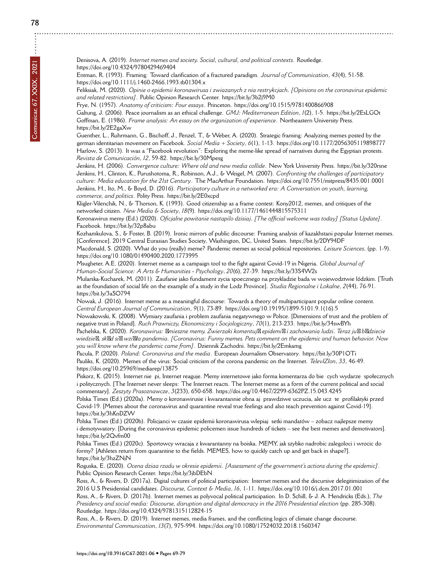Entman, R. (1993). Framing: Toward clarification of a fractured paradigm. *Journal of Communication*, *43*(4), 51-58. <https://doi.org/10.1111/j.1460-2466.1993.tb01304.x>

Feliksiak, M. (2020). *Opinie o epidemii koronawirusa i zwiazanych z nia restrykcjach. [Opinions on the coronavirus epidemic and related restrictions]*. Public Opinion Research Center.<https://bit.ly/3b2j9M0>

Frye, N. (1957). *Anatomy of criticism: Four essays*. Princeton.<https://doi.org/10.1515/9781400866908>

Galtung, J. (2006). Peace journalism as an ethical challenge. *GMJ: Mediterranean Edition*, *1*(2), 1-5.<https://bit.ly/2EsLGOt> Goffman, E. (1986). *Frame analysis: An essay on the organization of experience*. Northeastern University Press. <https://bit.ly/2E2gaXw>

Guenther, L., Ruhrmann, G., Bischoff, J., Penzel, T., & Weber, A. (2020). Strategic framing: Analyzing memes posted by the german identitarian movement on Facebook. *Social Media + Society*, *6*(1), 1-13.<https://doi.org/10.1177/2056305119898777> Harlow, S. (2013). It was a "Facebook revolution": Exploring the meme-like spread of narratives during the Egyptian protests. *Revista de Comunicación*, *12*, 59-82.<https://bit.ly/30Mpesg>

Jenkins, H. (2006). *Convergence culture: Where old and new media collide*. New York University Press.<https://bit.ly/320rsne> Jenkins, H., Clinton, K., Purushotoma, R., Robinson, A.J., & Weigel, M. (2007). *Confronting the challenges of participatory culture: Media education for the 21st Century*. The MacArthur Foundation.<https://doi.org/10.7551/mitpress/8435.001.0001> Jenkins, H., Ito, M., & Boyd, D. (2016). *Participatory culture in a networked era: A Conversation on youth, learning, commerce, and politics*. Polity Press.<https://bit.ly/2E0xcpd>

Kligler-Vilenchik, N., & Thorson, K. (1993). Good citizenship as a frame contest: Kony2012, memes, and critiques of the networked citizen. *New Media & Society*, *18*(9).<https://doi.org/10.1177/1461444815575311>

Koronawirus memy (Ed.) (2020). *Oficjalne powitanie nastapilo dzisiaj. [The official welcome was today] [Status Update]*. Facebook.<https://bit.ly/32p8abu>

Kozhamkulova, S., & Foster, B. (2019). Ironic mirrors of public discourse: Framing analysis of kazakhstani popular Internet memes. [Conference]. 2019 Central Eurasian Studies Society, Washington, DC, United States.<https://bit.ly/2DY94DF>

Macdonald, S. (2020). What do you (really) meme? Pandemic memes as social political repositories. *Leisure Sciences*, (pp. 1-9). <https://doi.org/10.1080/01490400.2020.1773995>

Msugheter, A.E. (2020). Internet meme as a campaign tool to the fight against Covid-19 in Nigeria. *Global Journal of Human-Social Science: A Arts & Humanities - Psychology*, *20*(6), 27-39.<https://bit.ly/33S4W2s>

Mularska-Kucharek, M. (2011). Zaufanie jako fundament zycia spoecznego na przykladzie bada w wojewodztwie lódzkim. [Truth as the foundation of social life on the example of a study in the Lodz Province]. *Studia Regionalne i Lokalne*, *2*(44), 76-91. <https://bit.ly/3aSO794>

Nowak, J. (2016). Internet meme as a meaningful discourse: Towards a theory of multiparticipant popular online content. *Central European Journal of Communication*, *9*(1), 73-89. [https://doi.org/10.19195/1899-5101.9.1\(16\).5](https://doi.org/10.19195/1899-5101.9.1(16).5)

Nowakowski, K. (2008). Wymiary zaufania i problem zaufania negatywnego w Polsce. [Dimensions of trust and the problem of negative trust in Poland]. *Ruch Prawniczy, Ekonomiczny i Socjologiczny*, *70*(1), 213-233.<https://bit.ly/34swBYh>

Pachelska, K. (2020). *Koronawirus: fimieszne memy. Zwierzaki komentujfi epidemifi i zachowania ludzi. Teraz jufi bfidziecie wiedziefi, skfid sifi wzifiła pandemia. [Coronavirus: Funny memes. Pets comment on the epidemic and human behavior. Now you will know where the pandemic came from]*. Dziennik Zachodni.<https://bit.ly/2Emkamg>

Pacula, P. (2020). *Poland: Coronavirus and the media*. European Journalism Observatory.<https://bit.ly/30P1OTi> Pauliks, K. (2020). Memes of the virus: Social criticism of the corona pandemic on the Internet. *TelevIZIon*, *33*, 46-49. <https://doi.org/10.25969/mediarep/13875>

Piskorz, K. (2015). Internet nie pi, Internet reaguje. Memy internetowe jako forma komentarza do biecych wydarze społecznych i politycznych. [The Internet never sleeps: The Internet reacts. The Internet meme as a form of the current political and social commentary]. *Zeszyty Prasoznawcze*, *3*(233), 650-658.<https://doi.org/10.4467/2299-6362PZ.15.043.4245>

Polska Times (Ed.) (2020a). Memy o koronawirusie i kwarantannie obnaaj prawdziwe uczucia, ale ucz te profilaktyki przed Covid-19. [Memes about the coronavirus and quarantine reveal true feelings and also teach prevention against Covid-19]. <https://bit.ly/3hKnDZW>

Polska Times (Ed.) (2020b). Policjanci w czasie epidemii koronawirusa wlepiaj setki mandatów – zobacz najlepsze memy i demotywatory. [During the coronavirus epidemic policemen issue hundreds of tickets – see the best memes and demotivators]. <https://bit.ly/2Qvfm00>

Polska Times (Ed.) (2020c). Sportowcy wracaja z kwarantanny na boiska. MEMY, jak szybko nadrobic zalegoloci i wrocic do formy? [Athletes return from quarantine to the fields. MEMES, how to quickly catch up and get back in shape?]. <https://bit.ly/3hzZNjN>

Roguska, E. (2020). *Ocena dziaa rzadu w okresie epidemii. [Assessment of the government's actions during the epidemic]*. Public Opinion Research Center.<https://bit.ly/3jbDEbN>

Ross, A., & Rivers, D. (2017a). Digital cultures of political participation: Internet memes and the discursive delegitimization of the 2016 U.S Presidential candidates. *Discourse, Context & Media*, *16*, 1-11.<https://doi.org/10.1016/j.dcm.2017.01.001> Ross, A., & Rivers, D. (2017b). Internet memes as polyvocal political participation. In D. Schill, & J. A. Hendricks (Eds.), *The Presidency and social media: Discourse, disruption and digital democracy in the 2016 Presidential election* (pp. 285-308).

Routledge.<https://doi.org/10.4324/9781315112824-15> Ross, A., & Rivers, D. (2019). Internet memes, media frames, and the conflicting logics of climate change discourse. *Environmental Communication*, *13*(7), 975-994.<https://doi.org/10.1080/17524032.2018.1560347>